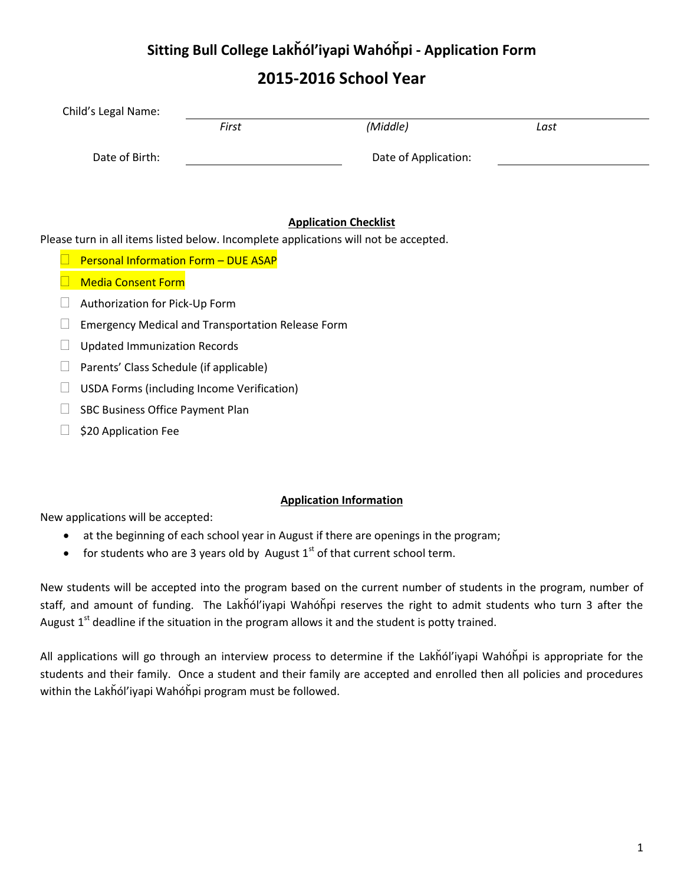### **2015-2016 School Year**

| Child's Legal Name: |       |                      |      |
|---------------------|-------|----------------------|------|
|                     | First | (Middle)             | Last |
| Date of Birth:      |       | Date of Application: |      |
|                     |       |                      |      |
|                     |       |                      |      |

#### **Application Checklist**

Please turn in all items listed below. Incomplete applications will not be accepted.

- $\Box$  Personal Information Form DUE ASAP
- **Media Consent Form**
- $\Box$  Authorization for Pick-Up Form
- $\Box$  Emergency Medical and Transportation Release Form
- $\Box$  Updated Immunization Records
- $\Box$  Parents' Class Schedule (if applicable)
- $\Box$  USDA Forms (including Income Verification)
- $\Box$  SBC Business Office Payment Plan
- $\Box$  \$20 Application Fee

#### **Application Information**

New applications will be accepted:

- at the beginning of each school year in August if there are openings in the program;
- for students who are 3 years old by August  $1<sup>st</sup>$  of that current school term.

New students will be accepted into the program based on the current number of students in the program, number of staff, and amount of funding. The Lakȟól'iyapi Wahóȟpi reserves the right to admit students who turn 3 after the August  $1<sup>st</sup>$  deadline if the situation in the program allows it and the student is potty trained.

All applications will go through an interview process to determine if the Lakȟól'iyapi Wahóȟpi is appropriate for the students and their family. Once a student and their family are accepted and enrolled then all policies and procedures within the Lakȟól'iyapi Wahóȟpi program must be followed.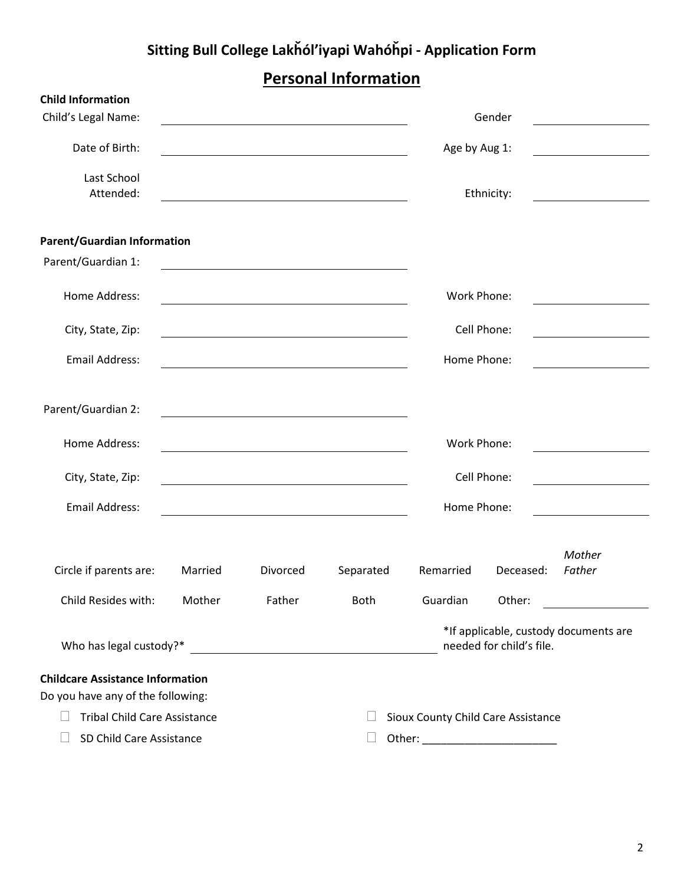## **Personal Information**

| <b>Child Information</b>                                                            |         |                                                                                                                      |                                                                                                                      |                                    |             |                                                 |
|-------------------------------------------------------------------------------------|---------|----------------------------------------------------------------------------------------------------------------------|----------------------------------------------------------------------------------------------------------------------|------------------------------------|-------------|-------------------------------------------------|
| Child's Legal Name:                                                                 |         |                                                                                                                      |                                                                                                                      |                                    | Gender      | <u> 1989 - John Stein, Amerikaansk kanton (</u> |
| Date of Birth:                                                                      |         | <u> 1980 - Johann Barn, mars ann an t-Amhain Aonaich an t-Aonaich an t-Aonaich ann an t-Aonaich ann an t-Aonaich</u> |                                                                                                                      | Age by Aug 1:                      |             |                                                 |
| Last School<br>Attended:                                                            |         |                                                                                                                      |                                                                                                                      |                                    | Ethnicity:  |                                                 |
| <b>Parent/Guardian Information</b>                                                  |         |                                                                                                                      |                                                                                                                      |                                    |             |                                                 |
| Parent/Guardian 1:                                                                  |         |                                                                                                                      | <u> 1980 - Johann Barn, mars ann an t-Amhain Aonaich an t-Aonaich an t-Aonaich ann an t-Aonaich ann an t-Aonaich</u> |                                    |             |                                                 |
| Home Address:                                                                       |         |                                                                                                                      |                                                                                                                      | Work Phone:                        |             |                                                 |
| City, State, Zip:                                                                   |         |                                                                                                                      |                                                                                                                      |                                    | Cell Phone: |                                                 |
| <b>Email Address:</b>                                                               |         |                                                                                                                      |                                                                                                                      | Home Phone:                        |             |                                                 |
| Parent/Guardian 2:                                                                  |         |                                                                                                                      |                                                                                                                      |                                    |             |                                                 |
| Home Address:                                                                       |         |                                                                                                                      |                                                                                                                      | Work Phone:                        |             |                                                 |
| City, State, Zip:                                                                   |         |                                                                                                                      | <u> 1989 - Jan Stein Stein, Amerikaansk politiker (</u>                                                              |                                    | Cell Phone: |                                                 |
| <b>Email Address:</b>                                                               |         |                                                                                                                      |                                                                                                                      | Home Phone:                        |             |                                                 |
| Circle if parents are:                                                              | Married | Divorced                                                                                                             | Separated                                                                                                            | Remarried                          | Deceased:   | Mother<br>Father                                |
| Child Resides with:                                                                 | Mother  | Father                                                                                                               | <b>Both</b>                                                                                                          | Guardian                           | Other:      |                                                 |
| Who has legal custody?*<br><u> 1989 - Johann Stein, fransk kampbeskip (d. 1989)</u> |         | *If applicable, custody documents are<br>needed for child's file.                                                    |                                                                                                                      |                                    |             |                                                 |
| <b>Childcare Assistance Information</b><br>Do you have any of the following:        |         |                                                                                                                      |                                                                                                                      |                                    |             |                                                 |
| <b>Tribal Child Care Assistance</b>                                                 |         |                                                                                                                      |                                                                                                                      | Sioux County Child Care Assistance |             |                                                 |
| SD Child Care Assistance                                                            |         |                                                                                                                      | $\Box$                                                                                                               |                                    |             |                                                 |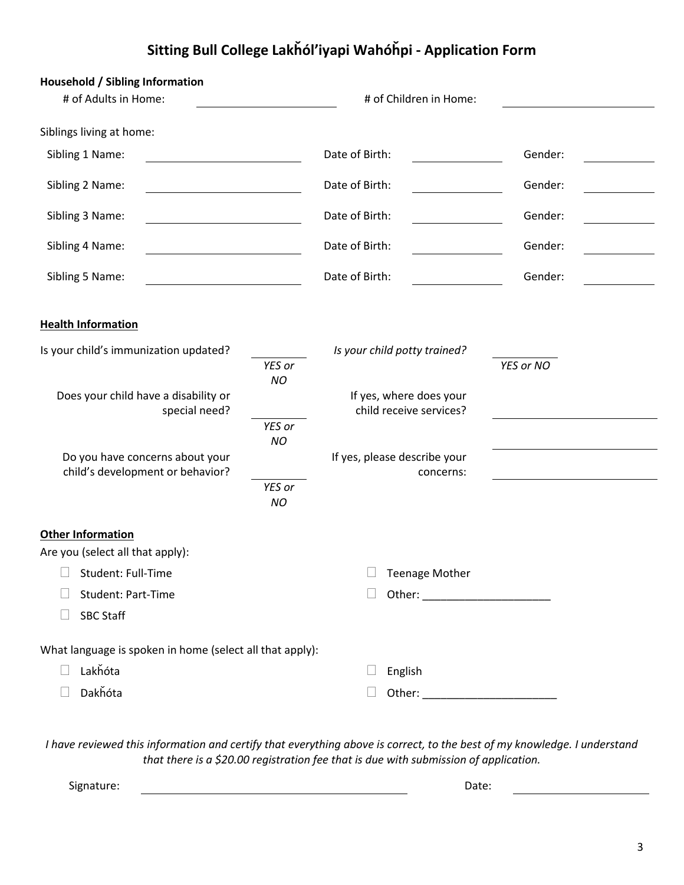| Household / Sibling Information                                     |                     |                                                    |           |  |
|---------------------------------------------------------------------|---------------------|----------------------------------------------------|-----------|--|
| # of Adults in Home:                                                |                     | # of Children in Home:                             |           |  |
| Siblings living at home:                                            |                     |                                                    |           |  |
| Sibling 1 Name:                                                     |                     | Date of Birth:                                     | Gender:   |  |
| Sibling 2 Name:                                                     |                     | Date of Birth:                                     | Gender:   |  |
| Sibling 3 Name:<br><u> 1980 - Johann Barbara, martxa al</u>         |                     | Date of Birth:                                     | Gender:   |  |
| Sibling 4 Name:                                                     |                     | Date of Birth:                                     | Gender:   |  |
| Sibling 5 Name:                                                     |                     | Date of Birth:                                     | Gender:   |  |
| <b>Health Information</b>                                           |                     |                                                    |           |  |
| Is your child's immunization updated?                               |                     | Is your child potty trained?                       |           |  |
|                                                                     | YES or<br><b>NO</b> |                                                    | YES or NO |  |
| Does your child have a disability or<br>special need?               |                     | If yes, where does your<br>child receive services? |           |  |
|                                                                     | YES or<br><b>NO</b> |                                                    |           |  |
| Do you have concerns about your<br>child's development or behavior? |                     | If yes, please describe your<br>concerns:          |           |  |
|                                                                     | YES or<br><b>NO</b> |                                                    |           |  |
| <b>Other Information</b><br>Are you (select all that apply):        |                     |                                                    |           |  |
| $\Box$ Student: Full-Time                                           |                     | $\Box$ Teenage Mother                              |           |  |
| Student: Part-Time                                                  |                     |                                                    |           |  |
| <b>SBC Staff</b>                                                    |                     |                                                    |           |  |
| What language is spoken in home (select all that apply):            |                     |                                                    |           |  |
| Lakhóta                                                             |                     | English                                            |           |  |
| Dakhóta                                                             |                     |                                                    |           |  |

*I have reviewed this information and certify that everything above is correct, to the best of my knowledge. I understand that there is a \$20.00 registration fee that is due with submission of application.*

Signature: Date: Date: Date: Date: Date: Date: Date: Date: Date: Date: Date: Date: Date: Date: Date: Date: Date: Date: Date: Date: Date: Date: Date: Date: Date: Date: Date: Date: Date: Date: Date: Date: Date: Date: Date: D